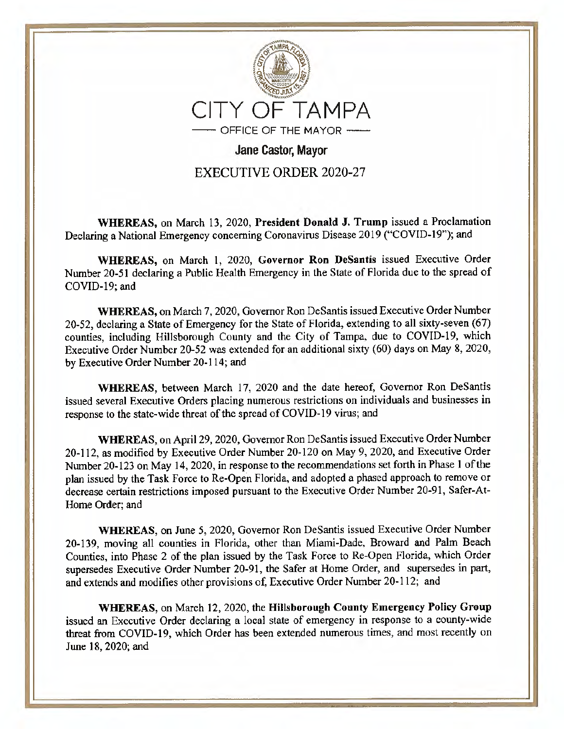

Jane Castor, Mayor EXECUTIVE ORDER 2020-27

**WHEREAS,** on March 13, 2020, **President Donald J. Trump** issued a Proclamation Declaring a National Emergency concerning Coronavirus Disease 2019 ("COVID-19"); and

**WHEREAS,** on March **1,** 2020, **Governor Ron Desantis** issued Executive Order Number 20-51 declaring a Public Health Emergency in the State of Florida due to the spread of COVID-19; and

**WHEREAS,** on March 7, 2020, Governor Ron DeSantis issued Executive Order Number 20-52, declaring a State of Emergency for the State of Florida, extending to all sixty-seven (67) counties, including Hillsborough County and the City of Tampa, due to COVID-19, which Executive Order Number 20-52 was extended for an additional sixty (60) days on May 8, 2020, by Executive Order Number 20-114; and

WHEREAS, between March 17, 2020 and the date hereof, Governor Ron DeSantis issued several Executive Orders placing numerous restrictions on individuals and businesses in response to the state-wide threat of the spread of COVID-19 virus; and

**WHEREAS,** on April 29, 2020, Governor Ron DeSantis issued Executive Order Number 20-112, as modified by Executive Order Number 20-120 on May 9, 2020, and Executive Order Number 20-123 on May 14, 2020, in response to the recommendations set forth in Phase I of the plan issued by the Task Force to Re-Open Florida, and adopted a phased approach to remove or decrease certain restrictions imposed pursuant to the Executive Order Number 20-91, Safer-At-Home Order; and

**WHEREAS,** on June 5, 2020, Governor Ron DeSantis issued Executive Order Number 20-139, moving all counties in Florida, other than Miami-Dade, Broward and Palm Beach Counties, into Phase 2 of the plan issued by the Task Force to Re-Open Florida, which Order supersedes Executive Order Number 20-91, the Safer at Home Order, and supersedes in part, and extends and modifies other provisions of, Executive Order Number 20-112; and

**WHEREAS,** on March 12, 2020, the **Hillsborough County Emergency Policy Group**  issued an Executive Order declaring a local state of emergency in response to a county-wide threat from COVID-19, which Order has been extended numerous times, and most recently on June 18, 2020; and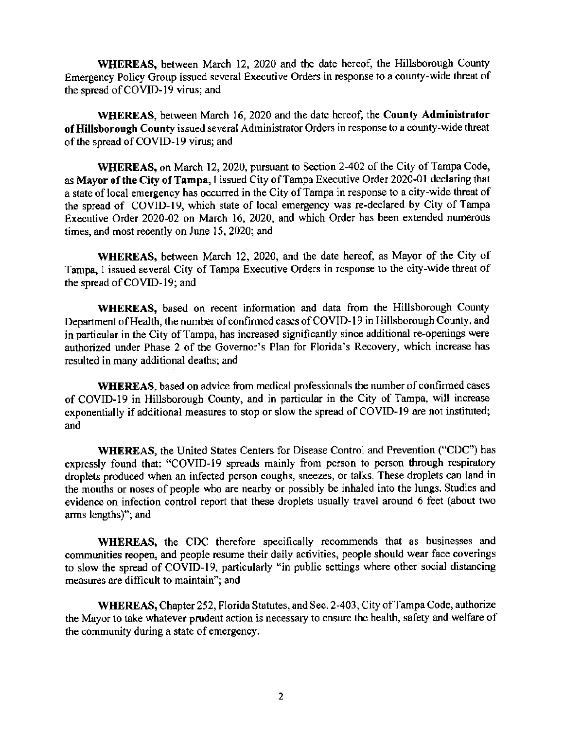**WHEREAS,** between March 12, 2020 and the date hereof, the Hillsborough County Emergency Policy Group issued several Executive Orders in response to a county-wide threat of the spread of COVID-19 virus; and

**WHEREAS,** between March 16, 2020 and the date hereof, the **County Administrator of Hillsborough County** issued several Administrator Orders in response to a county-wide threat of the spread of COVID-19 virus; and

**WHEREAS,** on March 12, 2020, pursuant to Section 2-402 of the City of Tampa Code, as **Mayor of the City of Tampa,** I issued City of Tampa Executive Order 2020-01 declaring that a state of local emergency has occurred in the City of Tampa in response to a city-wide threat of the spread of COVID-19, which state of local emergency was re-declared by City of Tampa Executive Order 2020-02 on March 16, 2020, and which Order has been extended numerous times, and most recently on June 15, 2020; and

**WHEREAS,** between March 12, 2020, and the date hereof, as Mayor of the City of Tampa, I issued several City of Tampa Executive Orders in response to the city-wide threat of the spread of COVID-19; and

**WHEREAS,** based on recent information and data from the Hillsborough County Department of Health, the number of confirmed cases of COVID-19 in Hillsborough County, and in particular in the City of Tampa, has increased significantly since additional re-openings were authorized under Phase 2 of the Governor's Plan for Florida's Recovery, which increase has resulted in many additional deaths; and

**WHEREAS,** based on advice from medical professionals the number of confirmed cases of COVID-19 in Hillsborough County, and in particular in the City of Tampa, will increase exponentially if additional measures to stop or slow the spread of COVID-19 are not instituted; and

**WHEREAS, the United States Centers for Disease Control and Prevention ("CDC") has** expressly found that: "COVID-19 spreads mainly from person to person through respiratory droplets produced when an infected person coughs, sneezes, or talks. These droplets can land in the mouths or noses of people who are nearby or possibly be inhaled into the lungs. Studies and evidence on infection control report that these droplets usually travel around 6 feet (about two arms lengths)"; and

**WHEREAS,** the CDC therefore specifically recommends that as businesses and communities reopen, and people resume their daily activities, people should wear face coverings to slow the spread of COVID-19, particularly "in public settings where other social distancing measures are difficult to maintain"; and

**WHEREAS,** Chapter 252, Florida Statutes, and Sec. 2-403, City of Tampa Code, authorize the Mayor to take whatever prudent action is necessary to ensure the health, safety and welfare of the community during a state of emergency.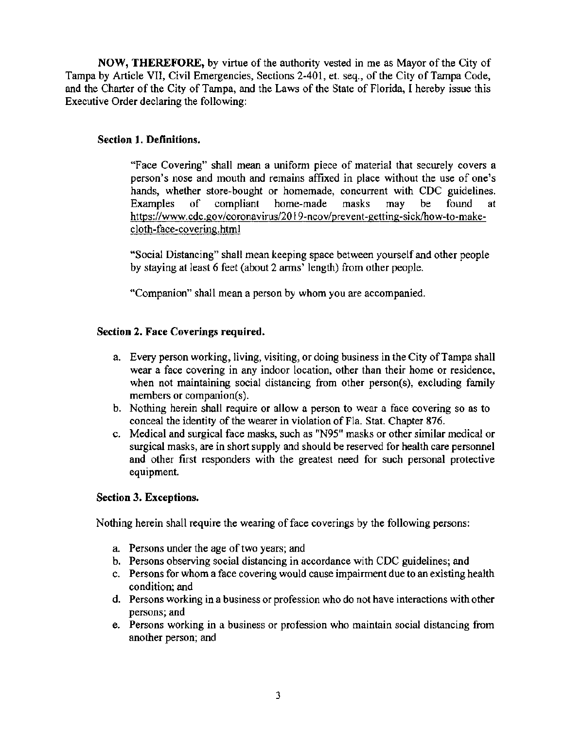**NOW, THEREFORE,** by virtue of the authority vested in me as Mayor of the City of Tampa by Article VII, Civil Emergencies, Sections 2-401, et. seq., of the City of Tampa Code, and the Charter of the City of Tampa, and the Laws of the State of Florida, I hereby issue this Executive Order declaring the following:

## **Section 1. Definitions.**

"Face Covering" shall mean a uniform piece of material that securely covers <sup>a</sup> person's nose and mouth and remains affixed in place without the use of one's hands, whether store-bought or homemade, concurrent with CDC guidelines. Examples of compliant home-made masks may be found at https://www.cdc.gov/coronavirus/20 f 9-ncov/prevent-getting-sick/how-to-makecloth-face-covering.html

"Social Distancing" shall mean keeping space between yourself and other people by staying at least 6 feet (about 2 arms' length) from other people.

"Companion" shall mean a person by whom you are accompanied.

# **Section 2. Face Coverings required.**

- a. Every person working, living, visiting, or doing business in the City of Tampa shall wear <sup>a</sup>face covering in any indoor location, other than their home or residence, when not maintaining social distancing from other person(s), excluding family members or companion(s).
- b. Nothing herein shall require or allow a person to wear a face covering so as to conceal the identity of the wearer in violation of Fla. Stat. Chapter 876.
- c. Medical and surgical face masks, such as "N95" masks or other similar medical or surgical masks, are in short supply and should be reserved for health care personnel and other first responders with the greatest [nee](https://www.cdc.gov/coronavirus/20)d for such personal protective equipment.

## **Section 3. Exceptions.**

Nothing herein shall require the wearing of face coverings by the following persons:

- a. Persons under the age of two years; and
- b. Persons observing social distancing in accordance with CDC guidelines; and
- c. Persons for whom a face covering would cause impairment due to an existing health condition; and
- d. Persons working in a business or profession who do not have interactions with other persons; and
- e. Persons working in a business or profession who maintain social distancing from another person; and